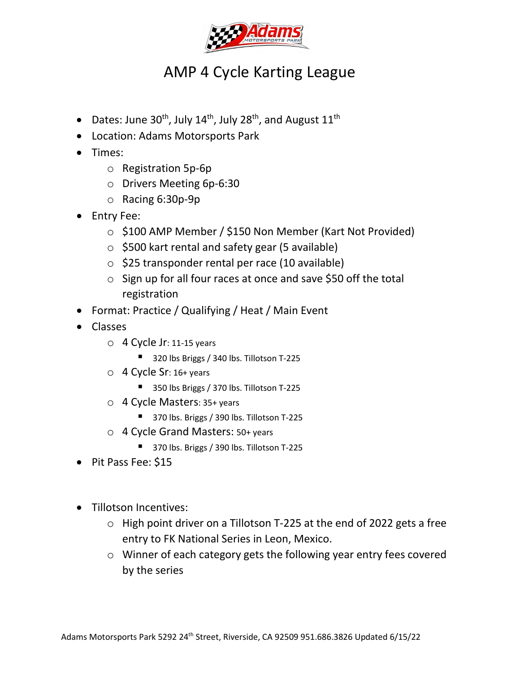

# AMP 4 Cycle Karting League

- Dates: June  $30^{th}$ , July  $14^{th}$ , July  $28^{th}$ , and August  $11^{th}$
- Location: Adams Motorsports Park
- Times:
	- o Registration 5p-6p
	- o Drivers Meeting 6p-6:30
	- o Racing 6:30p-9p
- Entry Fee:
	- o \$100 AMP Member / \$150 Non Member (Kart Not Provided)
	- $\circ$  \$500 kart rental and safety gear (5 available)
	- $\circ$  \$25 transponder rental per race (10 available)
	- o Sign up for all four races at once and save \$50 off the total registration
- Format: Practice / Qualifying / Heat / Main Event
- Classes
	- $\circ$  4 Cycle Jr: 11-15 years
		- 320 lbs Briggs / 340 lbs. Tillotson T-225
	- $\circ$  4 Cycle Sr: 16+ years
		- 350 lbs Briggs / 370 lbs. Tillotson T-225
	- o 4 Cycle Masters: 35+ years
		- 370 lbs. Briggs / 390 lbs. Tillotson T-225
	- o 4 Cycle Grand Masters: 50+ years
		- 370 lbs. Briggs / 390 lbs. Tillotson T-225
- Pit Pass Fee: \$15
- Tillotson Incentives:
	- o High point driver on a Tillotson T-225 at the end of 2022 gets a free entry to FK National Series in Leon, Mexico.
	- o Winner of each category gets the following year entry fees covered by the series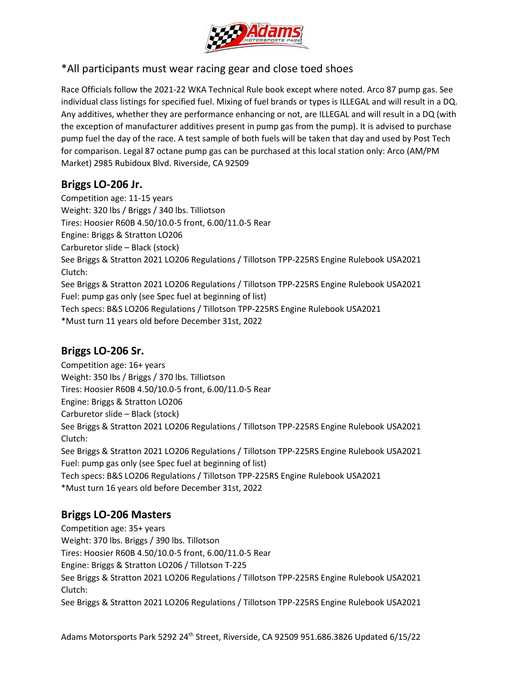

# \*All participants must wear racing gear and close toed shoes

Race Officials follow the 2021-22 WKA Technical Rule book except where noted. Arco 87 pump gas. See individual class listings for specified fuel. Mixing of fuel brands or types is ILLEGAL and will result in a DQ. Any additives, whether they are performance enhancing or not, are ILLEGAL and will result in a DQ (with the exception of manufacturer additives present in pump gas from the pump). It is advised to purchase pump fuel the day of the race. A test sample of both fuels will be taken that day and used by Post Tech for comparison. Legal 87 octane pump gas can be purchased at this local station only: Arco (AM/PM Market) 2985 Rubidoux Blvd. Riverside, CA 92509

# **Briggs LO-206 Jr.**

Competition age: 11-15 years Weight: 320 lbs / Briggs / 340 lbs. Tilliotson Tires: Hoosier R60B 4.50/10.0-5 front, 6.00/11.0-5 Rear Engine: Briggs & Stratton LO206 Carburetor slide – Black (stock) See Briggs & Stratton 2021 LO206 Regulations / Tillotson TPP-225RS Engine Rulebook USA2021 Clutch: See Briggs & Stratton 2021 LO206 Regulations / Tillotson TPP-225RS Engine Rulebook USA2021 Fuel: pump gas only (see Spec fuel at beginning of list) Tech specs: B&S LO206 Regulations / Tillotson TPP-225RS Engine Rulebook USA2021 \*Must turn 11 years old before December 31st, 2022

# **Briggs LO-206 Sr.**

Competition age: 16+ years Weight: 350 lbs / Briggs / 370 lbs. Tilliotson Tires: Hoosier R60B 4.50/10.0-5 front, 6.00/11.0-5 Rear Engine: Briggs & Stratton LO206 Carburetor slide – Black (stock) See Briggs & Stratton 2021 LO206 Regulations / Tillotson TPP-225RS Engine Rulebook USA2021 Clutch: See Briggs & Stratton 2021 LO206 Regulations / Tillotson TPP-225RS Engine Rulebook USA2021 Fuel: pump gas only (see Spec fuel at beginning of list) Tech specs: B&S LO206 Regulations / Tillotson TPP-225RS Engine Rulebook USA2021 \*Must turn 16 years old before December 31st, 2022

# **Briggs LO-206 Masters**

Competition age: 35+ years Weight: 370 lbs. Briggs / 390 lbs. Tillotson Tires: Hoosier R60B 4.50/10.0-5 front, 6.00/11.0-5 Rear Engine: Briggs & Stratton LO206 / Tillotson T-225 See Briggs & Stratton 2021 LO206 Regulations / Tillotson TPP-225RS Engine Rulebook USA2021 Clutch: See Briggs & Stratton 2021 LO206 Regulations / Tillotson TPP-225RS Engine Rulebook USA2021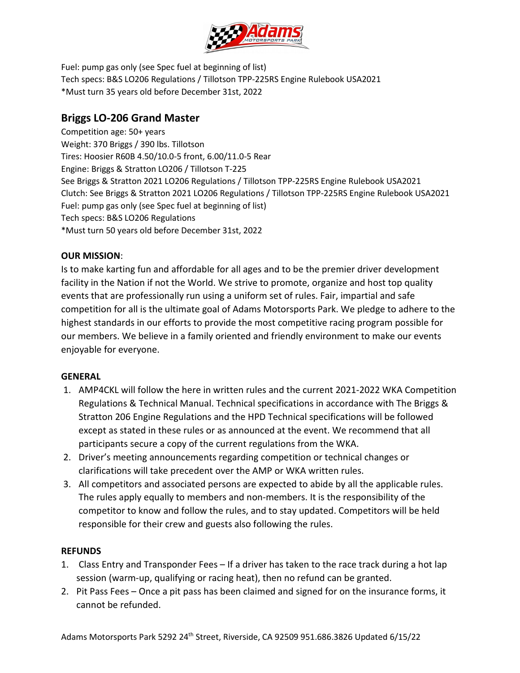

Fuel: pump gas only (see Spec fuel at beginning of list) Tech specs: B&S LO206 Regulations / Tillotson TPP-225RS Engine Rulebook USA2021 \*Must turn 35 years old before December 31st, 2022

# **Briggs LO-206 Grand Master**

Competition age: 50+ years Weight: 370 Briggs / 390 lbs. Tillotson Tires: Hoosier R60B 4.50/10.0-5 front, 6.00/11.0-5 Rear Engine: Briggs & Stratton LO206 / Tillotson T-225 See Briggs & Stratton 2021 LO206 Regulations / Tillotson TPP-225RS Engine Rulebook USA2021 Clutch: See Briggs & Stratton 2021 LO206 Regulations / Tillotson TPP-225RS Engine Rulebook USA2021 Fuel: pump gas only (see Spec fuel at beginning of list) Tech specs: B&S LO206 Regulations \*Must turn 50 years old before December 31st, 2022

# **OUR MISSION**:

Is to make karting fun and affordable for all ages and to be the premier driver development facility in the Nation if not the World. We strive to promote, organize and host top quality events that are professionally run using a uniform set of rules. Fair, impartial and safe competition for all is the ultimate goal of Adams Motorsports Park. We pledge to adhere to the highest standards in our efforts to provide the most competitive racing program possible for our members. We believe in a family oriented and friendly environment to make our events enjoyable for everyone.

#### **GENERAL**

- 1. AMP4CKL will follow the here in written rules and the current 2021-2022 WKA Competition Regulations & Technical Manual. Technical specifications in accordance with The Briggs & Stratton 206 Engine Regulations and the HPD Technical specifications will be followed except as stated in these rules or as announced at the event. We recommend that all participants secure a copy of the current regulations from the WKA.
- 2. Driver's meeting announcements regarding competition or technical changes or clarifications will take precedent over the AMP or WKA written rules.
- 3. All competitors and associated persons are expected to abide by all the applicable rules. The rules apply equally to members and non-members. It is the responsibility of the competitor to know and follow the rules, and to stay updated. Competitors will be held responsible for their crew and guests also following the rules.

#### **REFUNDS**

- 1. Class Entry and Transponder Fees If a driver has taken to the race track during a hot lap session (warm-up, qualifying or racing heat), then no refund can be granted.
- 2. Pit Pass Fees Once a pit pass has been claimed and signed for on the insurance forms, it cannot be refunded.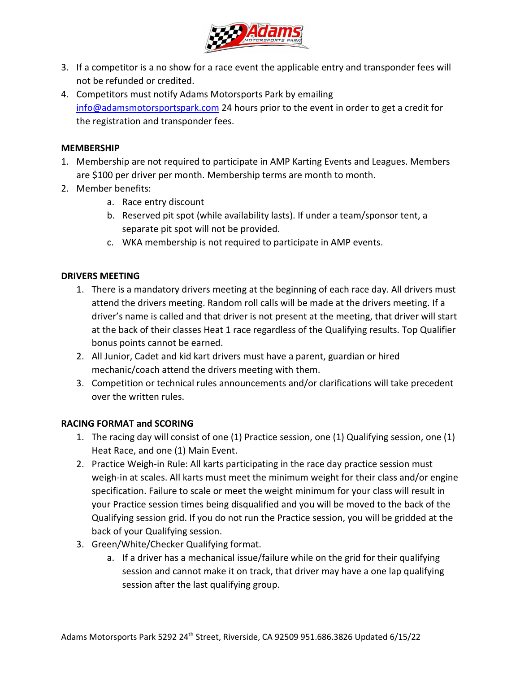

- 3. If a competitor is a no show for a race event the applicable entry and transponder fees will not be refunded or credited.
- 4. Competitors must notify Adams Motorsports Park by emailing [info@adamsmotorsportspark.com](mailto:info@adamsmotorsportspark.com) 24 hours prior to the event in order to get a credit for the registration and transponder fees.

#### **MEMBERSHIP**

- 1. Membership are not required to participate in AMP Karting Events and Leagues. Members are \$100 per driver per month. Membership terms are month to month.
- 2. Member benefits:
	- a. Race entry discount
	- b. Reserved pit spot (while availability lasts). If under a team/sponsor tent, a separate pit spot will not be provided.
	- c. WKA membership is not required to participate in AMP events.

#### **DRIVERS MEETING**

- 1. There is a mandatory drivers meeting at the beginning of each race day. All drivers must attend the drivers meeting. Random roll calls will be made at the drivers meeting. If a driver's name is called and that driver is not present at the meeting, that driver will start at the back of their classes Heat 1 race regardless of the Qualifying results. Top Qualifier bonus points cannot be earned.
- 2. All Junior, Cadet and kid kart drivers must have a parent, guardian or hired mechanic/coach attend the drivers meeting with them.
- 3. Competition or technical rules announcements and/or clarifications will take precedent over the written rules.

#### **RACING FORMAT and SCORING**

- 1. The racing day will consist of one (1) Practice session, one (1) Qualifying session, one (1) Heat Race, and one (1) Main Event.
- 2. Practice Weigh-in Rule: All karts participating in the race day practice session must weigh-in at scales. All karts must meet the minimum weight for their class and/or engine specification. Failure to scale or meet the weight minimum for your class will result in your Practice session times being disqualified and you will be moved to the back of the Qualifying session grid. If you do not run the Practice session, you will be gridded at the back of your Qualifying session.
- 3. Green/White/Checker Qualifying format.
	- a. If a driver has a mechanical issue/failure while on the grid for their qualifying session and cannot make it on track, that driver may have a one lap qualifying session after the last qualifying group.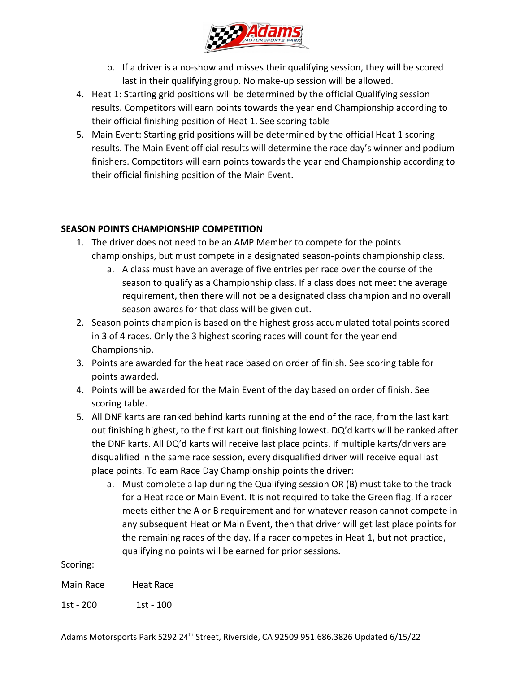

- b. If a driver is a no-show and misses their qualifying session, they will be scored last in their qualifying group. No make-up session will be allowed.
- 4. Heat 1: Starting grid positions will be determined by the official Qualifying session results. Competitors will earn points towards the year end Championship according to their official finishing position of Heat 1. See scoring table
- 5. Main Event: Starting grid positions will be determined by the official Heat 1 scoring results. The Main Event official results will determine the race day's winner and podium finishers. Competitors will earn points towards the year end Championship according to their official finishing position of the Main Event.

# **SEASON POINTS CHAMPIONSHIP COMPETITION**

- 1. The driver does not need to be an AMP Member to compete for the points championships, but must compete in a designated season-points championship class.
	- a. A class must have an average of five entries per race over the course of the season to qualify as a Championship class. If a class does not meet the average requirement, then there will not be a designated class champion and no overall season awards for that class will be given out.
- 2. Season points champion is based on the highest gross accumulated total points scored in 3 of 4 races. Only the 3 highest scoring races will count for the year end Championship.
- 3. Points are awarded for the heat race based on order of finish. See scoring table for points awarded.
- 4. Points will be awarded for the Main Event of the day based on order of finish. See scoring table.
- 5. All DNF karts are ranked behind karts running at the end of the race, from the last kart out finishing highest, to the first kart out finishing lowest. DQ'd karts will be ranked after the DNF karts. All DQ'd karts will receive last place points. If multiple karts/drivers are disqualified in the same race session, every disqualified driver will receive equal last place points. To earn Race Day Championship points the driver:
	- a. Must complete a lap during the Qualifying session OR (B) must take to the track for a Heat race or Main Event. It is not required to take the Green flag. If a racer meets either the A or B requirement and for whatever reason cannot compete in any subsequent Heat or Main Event, then that driver will get last place points for the remaining races of the day. If a racer competes in Heat 1, but not practice, qualifying no points will be earned for prior sessions.

Scoring:

Main Race Heat Race

1st - 200 1st - 100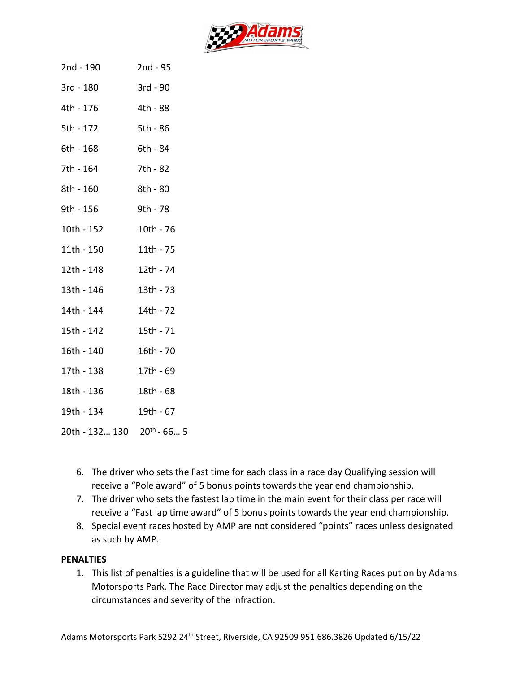

| 2nd - 190                              | 2nd - 95  |
|----------------------------------------|-----------|
| 3rd - 180                              | 3rd - 90  |
| 4th - 176                              | 4th - 88  |
| 5th - 172                              | 5th - 86  |
| 6th - 168                              | 6th - 84  |
| 7th - 164                              | 7th - 82  |
| 8th - 160                              | 8th - 80  |
| 9th - 156                              | 9th - 78  |
| 10th - 152                             | 10th - 76 |
| 11th - 150                             | 11th - 75 |
| 12th - 148                             | 12th - 74 |
| 13th - 146                             | 13th - 73 |
| 14th - 144                             | 14th - 72 |
| 15th - 142                             | 15th - 71 |
| 16th - 140                             | 16th - 70 |
| 17th - 138                             | 17th - 69 |
| 18th - 136                             | 18th - 68 |
| 19th - 134                             | 19th - 67 |
| 20th - 132 130 20 <sup>th</sup> - 66 5 |           |

- 6. The driver who sets the Fast time for each class in a race day Qualifying session will receive a "Pole award" of 5 bonus points towards the year end championship.
- 7. The driver who sets the fastest lap time in the main event for their class per race will receive a "Fast lap time award" of 5 bonus points towards the year end championship.
- 8. Special event races hosted by AMP are not considered "points" races unless designated as such by AMP.

#### **PENALTIES**

1. This list of penalties is a guideline that will be used for all Karting Races put on by Adams Motorsports Park. The Race Director may adjust the penalties depending on the circumstances and severity of the infraction.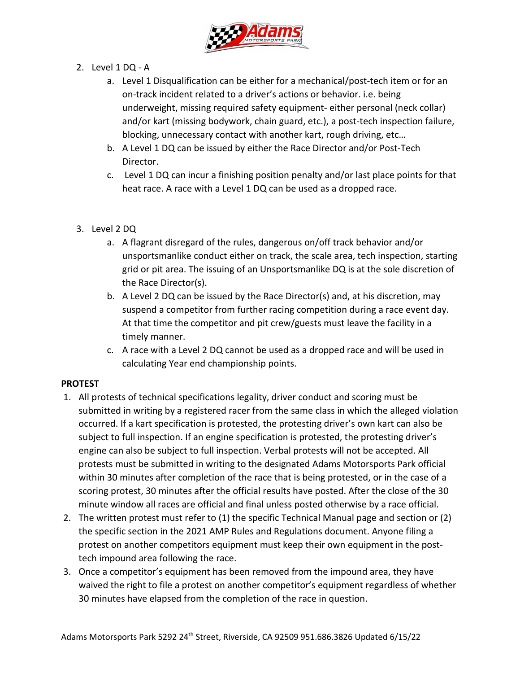

- 2. Level 1 DQ A
	- a. Level 1 Disqualification can be either for a mechanical/post-tech item or for an on-track incident related to a driver's actions or behavior. i.e. being underweight, missing required safety equipment- either personal (neck collar) and/or kart (missing bodywork, chain guard, etc.), a post-tech inspection failure, blocking, unnecessary contact with another kart, rough driving, etc…
	- b. A Level 1 DQ can be issued by either the Race Director and/or Post-Tech Director.
	- c. Level 1 DQ can incur a finishing position penalty and/or last place points for that heat race. A race with a Level 1 DQ can be used as a dropped race.
- 3. Level 2 DQ
	- a. A flagrant disregard of the rules, dangerous on/off track behavior and/or unsportsmanlike conduct either on track, the scale area, tech inspection, starting grid or pit area. The issuing of an Unsportsmanlike DQ is at the sole discretion of the Race Director(s).
	- b. A Level 2 DQ can be issued by the Race Director(s) and, at his discretion, may suspend a competitor from further racing competition during a race event day. At that time the competitor and pit crew/guests must leave the facility in a timely manner.
	- c. A race with a Level 2 DQ cannot be used as a dropped race and will be used in calculating Year end championship points.

# **PROTEST**

- 1. All protests of technical specifications legality, driver conduct and scoring must be submitted in writing by a registered racer from the same class in which the alleged violation occurred. If a kart specification is protested, the protesting driver's own kart can also be subject to full inspection. If an engine specification is protested, the protesting driver's engine can also be subject to full inspection. Verbal protests will not be accepted. All protests must be submitted in writing to the designated Adams Motorsports Park official within 30 minutes after completion of the race that is being protested, or in the case of a scoring protest, 30 minutes after the official results have posted. After the close of the 30 minute window all races are official and final unless posted otherwise by a race official.
- 2. The written protest must refer to (1) the specific Technical Manual page and section or (2) the specific section in the 2021 AMP Rules and Regulations document. Anyone filing a protest on another competitors equipment must keep their own equipment in the posttech impound area following the race.
- 3. Once a competitor's equipment has been removed from the impound area, they have waived the right to file a protest on another competitor's equipment regardless of whether 30 minutes have elapsed from the completion of the race in question.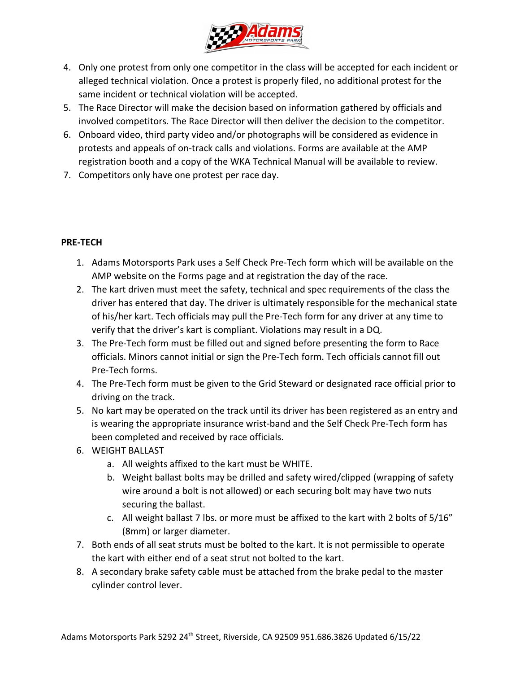

- 4. Only one protest from only one competitor in the class will be accepted for each incident or alleged technical violation. Once a protest is properly filed, no additional protest for the same incident or technical violation will be accepted.
- 5. The Race Director will make the decision based on information gathered by officials and involved competitors. The Race Director will then deliver the decision to the competitor.
- 6. Onboard video, third party video and/or photographs will be considered as evidence in protests and appeals of on-track calls and violations. Forms are available at the AMP registration booth and a copy of the WKA Technical Manual will be available to review.
- 7. Competitors only have one protest per race day.

# **PRE-TECH**

- 1. Adams Motorsports Park uses a Self Check Pre-Tech form which will be available on the AMP website on the Forms page and at registration the day of the race.
- 2. The kart driven must meet the safety, technical and spec requirements of the class the driver has entered that day. The driver is ultimately responsible for the mechanical state of his/her kart. Tech officials may pull the Pre-Tech form for any driver at any time to verify that the driver's kart is compliant. Violations may result in a DQ.
- 3. The Pre-Tech form must be filled out and signed before presenting the form to Race officials. Minors cannot initial or sign the Pre-Tech form. Tech officials cannot fill out Pre-Tech forms.
- 4. The Pre-Tech form must be given to the Grid Steward or designated race official prior to driving on the track.
- 5. No kart may be operated on the track until its driver has been registered as an entry and is wearing the appropriate insurance wrist-band and the Self Check Pre-Tech form has been completed and received by race officials.
- 6. WEIGHT BALLAST
	- a. All weights affixed to the kart must be WHITE.
	- b. Weight ballast bolts may be drilled and safety wired/clipped (wrapping of safety wire around a bolt is not allowed) or each securing bolt may have two nuts securing the ballast.
	- c. All weight ballast 7 lbs. or more must be affixed to the kart with 2 bolts of 5/16" (8mm) or larger diameter.
- 7. Both ends of all seat struts must be bolted to the kart. It is not permissible to operate the kart with either end of a seat strut not bolted to the kart.
- 8. A secondary brake safety cable must be attached from the brake pedal to the master cylinder control lever.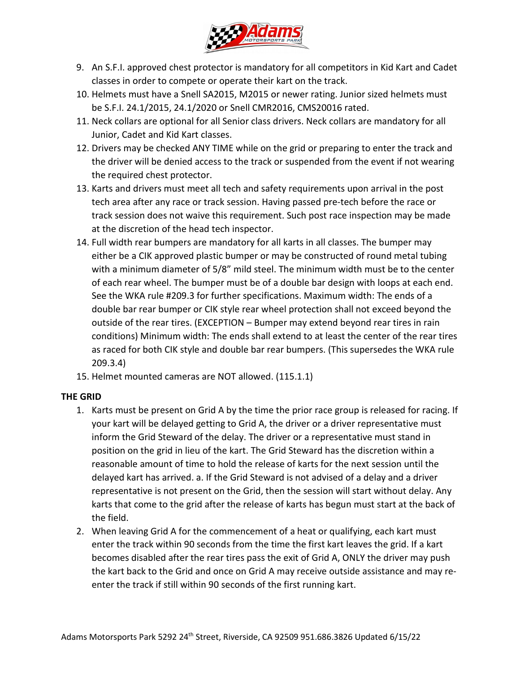

- 9. An S.F.I. approved chest protector is mandatory for all competitors in Kid Kart and Cadet classes in order to compete or operate their kart on the track.
- 10. Helmets must have a Snell SA2015, M2015 or newer rating. Junior sized helmets must be S.F.I. 24.1/2015, 24.1/2020 or Snell CMR2016, CMS20016 rated.
- 11. Neck collars are optional for all Senior class drivers. Neck collars are mandatory for all Junior, Cadet and Kid Kart classes.
- 12. Drivers may be checked ANY TIME while on the grid or preparing to enter the track and the driver will be denied access to the track or suspended from the event if not wearing the required chest protector.
- 13. Karts and drivers must meet all tech and safety requirements upon arrival in the post tech area after any race or track session. Having passed pre-tech before the race or track session does not waive this requirement. Such post race inspection may be made at the discretion of the head tech inspector.
- 14. Full width rear bumpers are mandatory for all karts in all classes. The bumper may either be a CIK approved plastic bumper or may be constructed of round metal tubing with a minimum diameter of 5/8" mild steel. The minimum width must be to the center of each rear wheel. The bumper must be of a double bar design with loops at each end. See the WKA rule #209.3 for further specifications. Maximum width: The ends of a double bar rear bumper or CIK style rear wheel protection shall not exceed beyond the outside of the rear tires. (EXCEPTION – Bumper may extend beyond rear tires in rain conditions) Minimum width: The ends shall extend to at least the center of the rear tires as raced for both CIK style and double bar rear bumpers. (This supersedes the WKA rule 209.3.4)
- 15. Helmet mounted cameras are NOT allowed. (115.1.1)

# **THE GRID**

- 1. Karts must be present on Grid A by the time the prior race group is released for racing. If your kart will be delayed getting to Grid A, the driver or a driver representative must inform the Grid Steward of the delay. The driver or a representative must stand in position on the grid in lieu of the kart. The Grid Steward has the discretion within a reasonable amount of time to hold the release of karts for the next session until the delayed kart has arrived. a. If the Grid Steward is not advised of a delay and a driver representative is not present on the Grid, then the session will start without delay. Any karts that come to the grid after the release of karts has begun must start at the back of the field.
- 2. When leaving Grid A for the commencement of a heat or qualifying, each kart must enter the track within 90 seconds from the time the first kart leaves the grid. If a kart becomes disabled after the rear tires pass the exit of Grid A, ONLY the driver may push the kart back to the Grid and once on Grid A may receive outside assistance and may reenter the track if still within 90 seconds of the first running kart.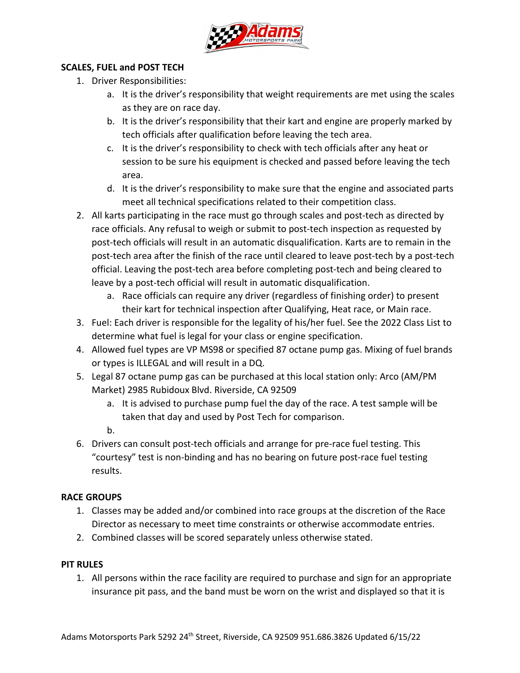

#### **SCALES, FUEL and POST TECH**

- 1. Driver Responsibilities:
	- a. It is the driver's responsibility that weight requirements are met using the scales as they are on race day.
	- b. It is the driver's responsibility that their kart and engine are properly marked by tech officials after qualification before leaving the tech area.
	- c. It is the driver's responsibility to check with tech officials after any heat or session to be sure his equipment is checked and passed before leaving the tech area.
	- d. It is the driver's responsibility to make sure that the engine and associated parts meet all technical specifications related to their competition class.
- 2. All karts participating in the race must go through scales and post-tech as directed by race officials. Any refusal to weigh or submit to post-tech inspection as requested by post-tech officials will result in an automatic disqualification. Karts are to remain in the post-tech area after the finish of the race until cleared to leave post-tech by a post-tech official. Leaving the post-tech area before completing post-tech and being cleared to leave by a post-tech official will result in automatic disqualification.
	- a. Race officials can require any driver (regardless of finishing order) to present their kart for technical inspection after Qualifying, Heat race, or Main race.
- 3. Fuel: Each driver is responsible for the legality of his/her fuel. See the 2022 Class List to determine what fuel is legal for your class or engine specification.
- 4. Allowed fuel types are VP MS98 or specified 87 octane pump gas. Mixing of fuel brands or types is ILLEGAL and will result in a DQ.
- 5. Legal 87 octane pump gas can be purchased at this local station only: Arco (AM/PM Market) 2985 Rubidoux Blvd. Riverside, CA 92509
	- a. It is advised to purchase pump fuel the day of the race. A test sample will be taken that day and used by Post Tech for comparison.

b.

6. Drivers can consult post-tech officials and arrange for pre-race fuel testing. This "courtesy" test is non-binding and has no bearing on future post-race fuel testing results.

# **RACE GROUPS**

- 1. Classes may be added and/or combined into race groups at the discretion of the Race Director as necessary to meet time constraints or otherwise accommodate entries.
- 2. Combined classes will be scored separately unless otherwise stated.

# **PIT RULES**

1. All persons within the race facility are required to purchase and sign for an appropriate insurance pit pass, and the band must be worn on the wrist and displayed so that it is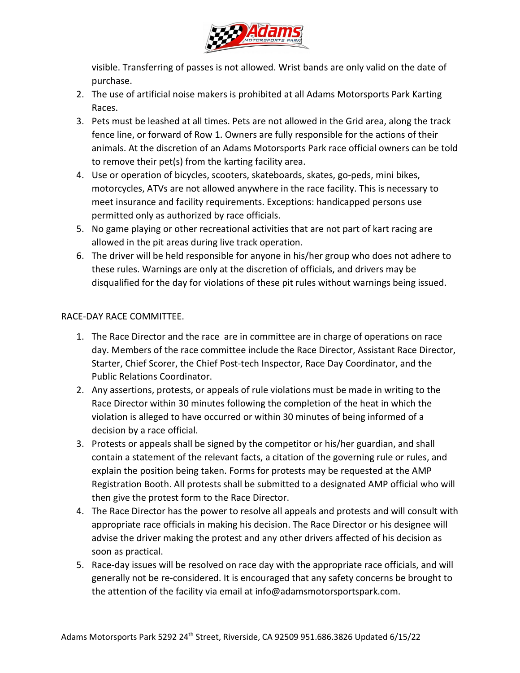

visible. Transferring of passes is not allowed. Wrist bands are only valid on the date of purchase.

- 2. The use of artificial noise makers is prohibited at all Adams Motorsports Park Karting Races.
- 3. Pets must be leashed at all times. Pets are not allowed in the Grid area, along the track fence line, or forward of Row 1. Owners are fully responsible for the actions of their animals. At the discretion of an Adams Motorsports Park race official owners can be told to remove their pet(s) from the karting facility area.
- 4. Use or operation of bicycles, scooters, skateboards, skates, go-peds, mini bikes, motorcycles, ATVs are not allowed anywhere in the race facility. This is necessary to meet insurance and facility requirements. Exceptions: handicapped persons use permitted only as authorized by race officials.
- 5. No game playing or other recreational activities that are not part of kart racing are allowed in the pit areas during live track operation.
- 6. The driver will be held responsible for anyone in his/her group who does not adhere to these rules. Warnings are only at the discretion of officials, and drivers may be disqualified for the day for violations of these pit rules without warnings being issued.

# RACE-DAY RACE COMMITTEE.

- 1. The Race Director and the race are in committee are in charge of operations on race day. Members of the race committee include the Race Director, Assistant Race Director, Starter, Chief Scorer, the Chief Post-tech Inspector, Race Day Coordinator, and the Public Relations Coordinator.
- 2. Any assertions, protests, or appeals of rule violations must be made in writing to the Race Director within 30 minutes following the completion of the heat in which the violation is alleged to have occurred or within 30 minutes of being informed of a decision by a race official.
- 3. Protests or appeals shall be signed by the competitor or his/her guardian, and shall contain a statement of the relevant facts, a citation of the governing rule or rules, and explain the position being taken. Forms for protests may be requested at the AMP Registration Booth. All protests shall be submitted to a designated AMP official who will then give the protest form to the Race Director.
- 4. The Race Director has the power to resolve all appeals and protests and will consult with appropriate race officials in making his decision. The Race Director or his designee will advise the driver making the protest and any other drivers affected of his decision as soon as practical.
- 5. Race-day issues will be resolved on race day with the appropriate race officials, and will generally not be re-considered. It is encouraged that any safety concerns be brought to the attention of the facility via email at info@adamsmotorsportspark.com.